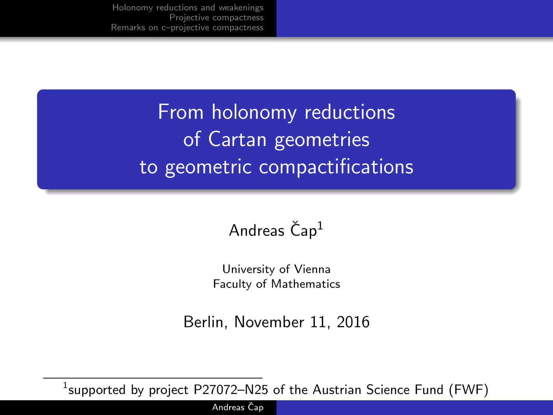> From holonomy reductions of Cartan geometries to geometric compactifications

### Andreas  $\text{Čap}^1$

University of Vienna Faculty of Mathematics

Berlin, November 11, 2016

 $^1$ supported by project <code>P27072–N25</code> of the Austrian Science Fund (FWF)

Andreas Čap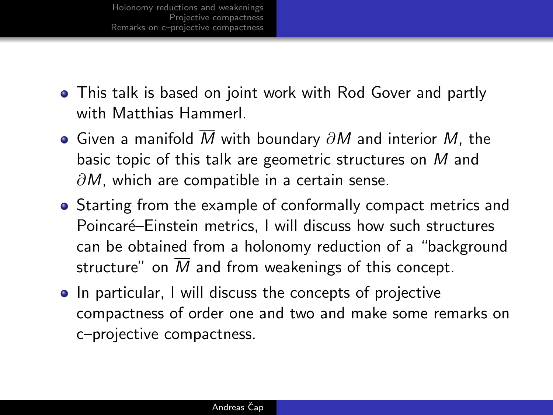- This talk is based on joint work with Rod Gover and partly with Matthias Hammerl.
- $\bullet$  Given a manifold  $\overline{M}$  with boundary  $\partial M$  and interior  $M$ , the basic topic of this talk are geometric structures on M and  $\partial M$ , which are compatible in a certain sense.
- Starting from the example of conformally compact metrics and Poincaré–Einstein metrics. I will discuss how such structures can be obtained from a holonomy reduction of a "background structure" on M and from weakenings of this concept.
- In particular, I will discuss the concepts of projective compactness of order one and two and make some remarks on c–projective compactness.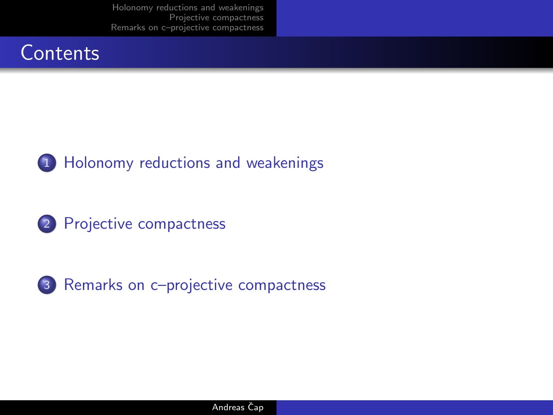







3 [Remarks on c–projective compactness](#page-15-0)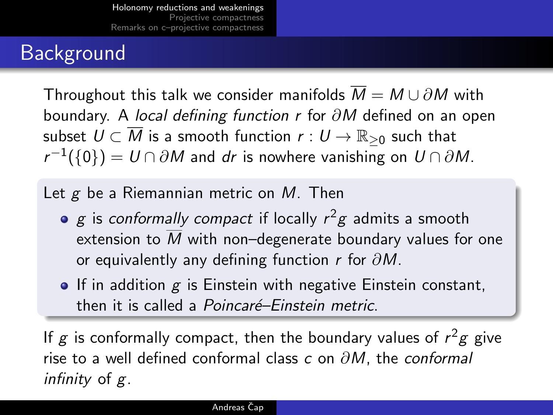### Background

Throughout this talk we consider manifolds  $\overline{M} = M \cup \partial M$  with boundary. A local defining function r for ∂M defined on an open subset  $U \subset \overline{M}$  is a smooth function  $r: U \to \mathbb{R}_{\geq 0}$  such that  $r^{-1}(\{0\})=U\cap\partial M$  and  $dr$  is nowhere vanishing on  $U\cap\partial M.$ 

Let  $g$  be a Riemannian metric on  $M$ . Then

- $g$  is *conformally compact* if locally  $r^2g$  admits a smooth extension to M with non–degenerate boundary values for one or equivalently any defining function r for  $\partial M$ .
- <span id="page-3-0"></span> $\bullet$  If in addition  $g$  is Einstein with negative Einstein constant, then it is called a *Poincaré–Einstein metric*.

If g is conformally compact, then the boundary values of  $r^2$ g give rise to a well defined conformal class c on  $\partial M$ , the conformal infinity of g.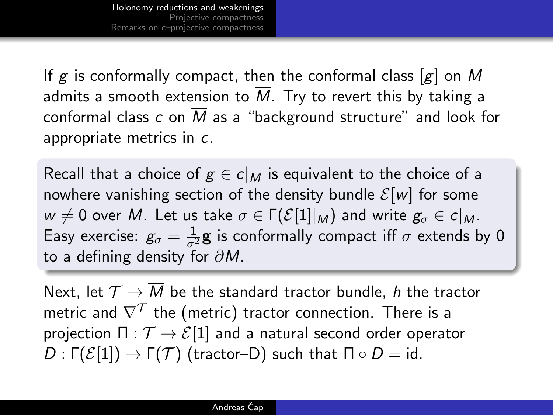If g is conformally compact, then the conformal class  $[g]$  on M admits a smooth extension to  $\overline{M}$ . Try to revert this by taking a conformal class c on  $\overline{M}$  as a "background structure" and look for appropriate metrics in c.

Recall that a choice of  $g \in c|_M$  is equivalent to the choice of a nowhere vanishing section of the density bundle  $\mathcal{E}[w]$  for some  $w \neq 0$  over M. Let us take  $\sigma \in \Gamma(\mathcal{E}[1]|_M)$  and write  $g_{\sigma} \in c|_M$ . Easy exercise:  $g_{\sigma} = \frac{1}{\sigma^2} \mathbf{g}$  is conformally compact iff  $\sigma$  extends by 0 to a defining density for  $\partial M$ .

Next, let  $\mathcal{T} \to \overline{M}$  be the standard tractor bundle, h the tractor metric and  $\nabla^{\mathcal{T}}$  the (metric) tractor connection. There is a projection  $\Pi : \mathcal{T} \to \mathcal{E}[1]$  and a natural second order operator  $D: \Gamma(\mathcal{E}[1]) \to \Gamma(\mathcal{T})$  (tractor–D) such that  $\Pi \circ D = id$ .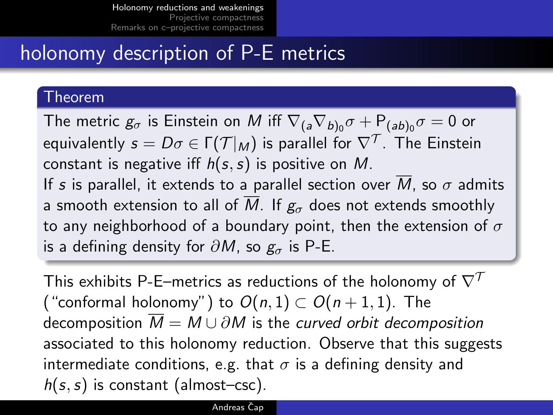### holonomy description of P-E metrics

### Theorem

The metric  $\mathcal{g}_\sigma$  is Einstein on  $M$  iff  $\nabla_{(a}\nabla_{b)_0}\sigma+\mathsf{P}_{(ab)_0}\sigma=0$  or equivalently  $s=D\sigma\in \mathsf{\Gamma}({\mathcal{T}}|_M)$  is parallel for  $\nabla^{{\mathcal{T}}}.$  The Einstein constant is negative iff  $h(s, s)$  is positive on M. If s is parallel, it extends to a parallel section over  $\overline{M}$ , so  $\sigma$  admits a smooth extension to all of  $\overline{M}$ . If  $g_{\sigma}$  does not extends smoothly to any neighborhood of a boundary point, then the extension of  $\sigma$ is a defining density for  $\partial M$ , so  $g_{\sigma}$  is P-E.

This exhibits P-E–metrics as reductions of the holonomy of  $\nabla^T$ ("conformal holonomy") to  $O(n, 1) \subset O(n + 1, 1)$ . The decomposition  $\overline{M} = M \cup \partial M$  is the curved orbit decomposition associated to this holonomy reduction. Observe that this suggests intermediate conditions, e.g. that  $\sigma$  is a defining density and  $h(s, s)$  is constant (almost–csc).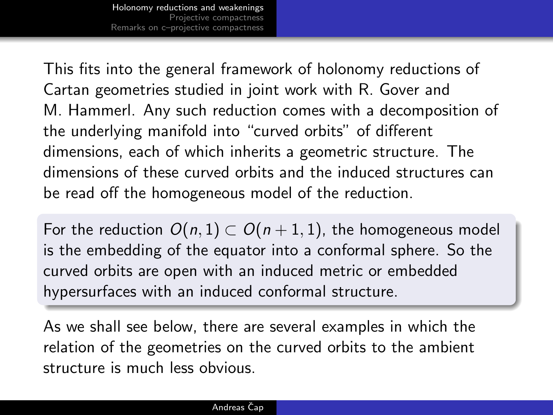This fits into the general framework of holonomy reductions of Cartan geometries studied in joint work with R. Gover and M. Hammerl. Any such reduction comes with a decomposition of the underlying manifold into "curved orbits" of different dimensions, each of which inherits a geometric structure. The dimensions of these curved orbits and the induced structures can be read off the homogeneous model of the reduction.

For the reduction  $O(n, 1) \subset O(n + 1, 1)$ , the homogeneous model is the embedding of the equator into a conformal sphere. So the curved orbits are open with an induced metric or embedded hypersurfaces with an induced conformal structure.

As we shall see below, there are several examples in which the relation of the geometries on the curved orbits to the ambient structure is much less obvious.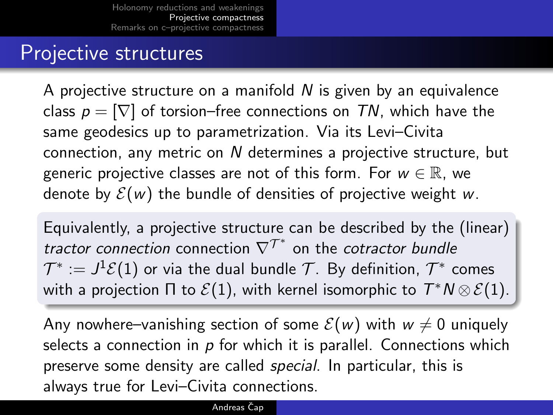### Projective structures

A projective structure on a manifold  $N$  is given by an equivalence class  $p = \nabla$  of torsion–free connections on TN, which have the same geodesics up to parametrization. Via its Levi–Civita connection, any metric on N determines a projective structure, but generic projective classes are not of this form. For  $w \in \mathbb{R}$ , we denote by  $\mathcal{E}(w)$  the bundle of densities of projective weight w.

Equivalently, a projective structure can be described by the (linear) tractor connection connection  $\nabla^{\mathcal{T}^*}$  on the cotractor bundle  $\mathcal{T}^*:=J^1\mathcal{E}(1)$  or via the dual bundle  $\mathcal{T}.$  By definition,  $\mathcal{T}^*$  comes with a projection  $\Pi$  to  $\mathcal{E}(1)$ , with kernel isomorphic to  $T^*N\otimes \mathcal{E}(1)$ .

<span id="page-7-0"></span>Any nowhere–vanishing section of some  $\mathcal{E}(w)$  with  $w \neq 0$  uniquely selects a connection in  $p$  for which it is parallel. Connections which preserve some density are called *special*. In particular, this is always true for Levi–Civita connections.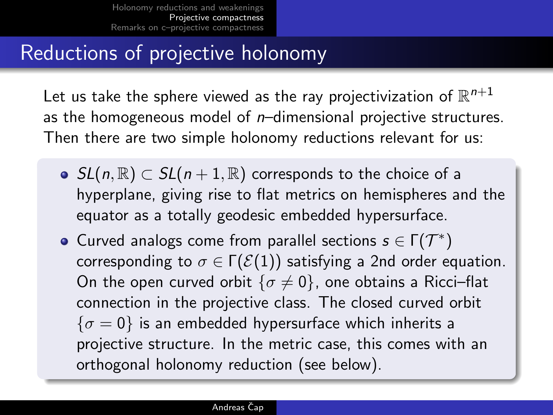### Reductions of projective holonomy

Let us take the sphere viewed as the ray projectivization of  $\mathbb{R}^{n+1}$ as the homogeneous model of  $n$ –dimensional projective structures. Then there are two simple holonomy reductions relevant for us:

- $\bullet$  SL(n, ℝ)  $\subset$  SL(n + 1, ℝ) corresponds to the choice of a hyperplane, giving rise to flat metrics on hemispheres and the equator as a totally geodesic embedded hypersurface.
- Curved analogs come from parallel sections  $s \in \Gamma(\mathcal{T}^*)$ corresponding to  $\sigma \in \Gamma(\mathcal{E}(1))$  satisfying a 2nd order equation. On the open curved orbit  $\{\sigma \neq 0\}$ , one obtains a Ricci-flat connection in the projective class. The closed curved orbit  $\{\sigma = 0\}$  is an embedded hypersurface which inherits a projective structure. In the metric case, this comes with an orthogonal holonomy reduction (see below).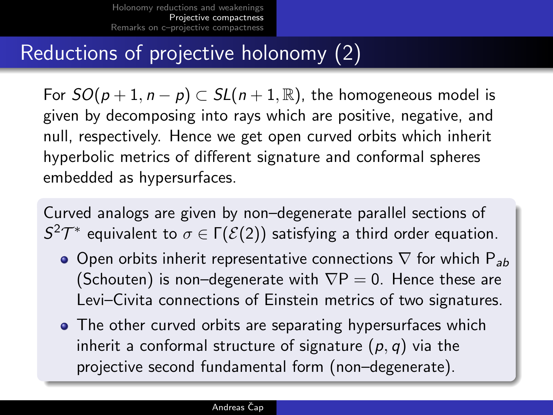### Reductions of projective holonomy (2)

For  $SO(p+1, n-p) \subset SL(n+1, \mathbb{R})$ , the homogeneous model is given by decomposing into rays which are positive, negative, and null, respectively. Hence we get open curved orbits which inherit hyperbolic metrics of different signature and conformal spheres embedded as hypersurfaces.

Curved analogs are given by non–degenerate parallel sections of  $S^2T^*$  equivalent to  $σ ∈ Γ(,(2))$  satisfying a third order equation.

- Open orbits inherit representative connections  $\nabla$  for which  $P_{ab}$ (Schouten) is non–degenerate with  $\nabla P = 0$ . Hence these are Levi–Civita connections of Einstein metrics of two signatures.
- The other curved orbits are separating hypersurfaces which inherit a conformal structure of signature  $(p, q)$  via the projective second fundamental form (non–degenerate).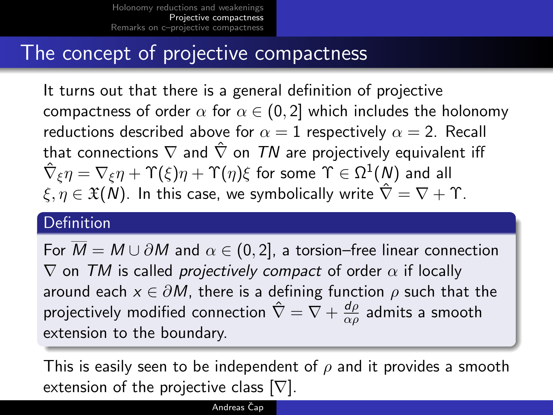### The concept of projective compactness

It turns out that there is a general definition of projective compactness of order  $\alpha$  for  $\alpha \in (0,2]$  which includes the holonomy reductions described above for  $\alpha = 1$  respectively  $\alpha = 2$ . Recall that connections  $\nabla$  and  $\hat{\nabla}$  on TN are projectively equivalent iff  $\hat\nabla_\xi\eta=\nabla_\xi\eta+\Upsilon(\xi)\eta+\Upsilon(\eta)\xi$  for some  $\Upsilon\in\Omega^1(\mathcal{N})$  and all  $\xi, \eta \in \mathfrak{X}(N)$ . In this case, we symbolically write  $\hat{\nabla} = \nabla + \Upsilon$ .

### **Definition**

For  $\overline{M} = M \cup \partial M$  and  $\alpha \in (0, 2]$ , a torsion–free linear connection  $\nabla$  on TM is called *projectively compact* of order  $\alpha$  if locally around each  $x \in \partial M$ , there is a defining function  $\rho$  such that the projectively modified connection  $\hat{\nabla} = \nabla + \frac{d\rho}{d\phi}$  $\frac{a\rho}{\alpha\rho}$  admits a smooth extension to the boundary.

This is easily seen to be independent of  $\rho$  and it provides a smooth extension of the projective class  $[\nabla]$ .

#### Andreas Čap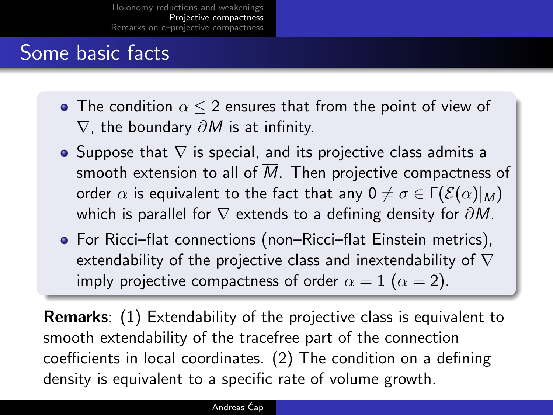## Some basic facts

- The condition  $\alpha \leq 2$  ensures that from the point of view of  $\nabla$ , the boundary  $\partial M$  is at infinity.
- Suppose that  $\nabla$  is special, and its projective class admits a smooth extension to all of  $\overline{M}$ . Then projective compactness of order  $\alpha$  is equivalent to the fact that any  $0 \neq \sigma \in \Gamma(\mathcal{E}(\alpha)|_M)$ which is parallel for  $\nabla$  extends to a defining density for  $\partial M$ .
- For Ricci–flat connections (non–Ricci–flat Einstein metrics), extendability of the projective class and inextendability of  $\nabla$ imply projective compactness of order  $\alpha = 1$  ( $\alpha = 2$ ).

Remarks: (1) Extendability of the projective class is equivalent to smooth extendability of the tracefree part of the connection coefficients in local coordinates. (2) The condition on a defining density is equivalent to a specific rate of volume growth.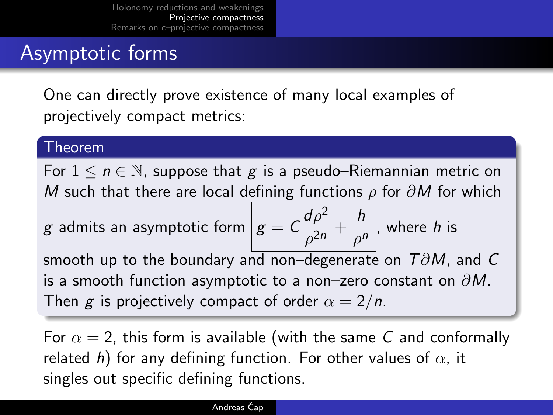## Asymptotic forms

One can directly prove existence of many local examples of projectively compact metrics:

### Theorem

For  $1 \le n \in \mathbb{N}$ , suppose that g is a pseudo–Riemannian metric on M such that there are local defining functions  $\rho$  for  $\partial M$  for which

*g* admits an asymptotic form 
$$
g = C \frac{d\rho^2}{\rho^{2n}} + \frac{h}{\rho^n}
$$
, where *h* is

smooth up to the boundary and non–degenerate on  $T\partial M$ , and C is a smooth function asymptotic to a non–zero constant on  $\partial M$ . Then g is projectively compact of order  $\alpha = 2/n$ .

For  $\alpha = 2$ , this form is available (with the same C and conformally related h) for any defining function. For other values of  $\alpha$ , it singles out specific defining functions.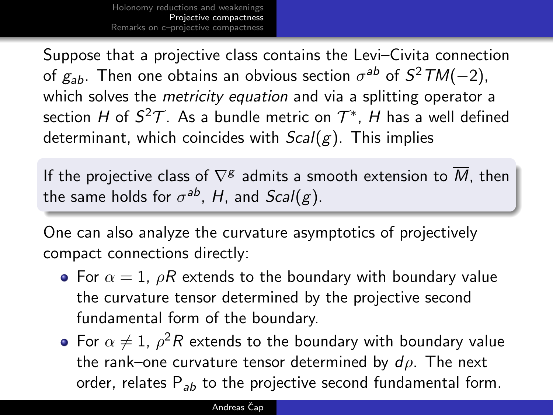Suppose that a projective class contains the Levi–Civita connection of  $g_{ab}$ . Then one obtains an obvious section  $\sigma^{ab}$  of  $S^2TM(-2)$ , which solves the *metricity equation* and via a splitting operator a section  $H$  of  $S^2\mathcal{T}$ . As a bundle metric on  $\mathcal{T}^*$ ,  $H$  has a well defined determinant, which coincides with  $Scal(g)$ . This implies

If the projective class of  $\nabla^{\mathcal{g}}$  admits a smooth extension to  $\overline{M}$ , then the same holds for  $\sigma^{ab}$ ,  $H$ , and  $Scal(g)$ .

One can also analyze the curvature asymptotics of projectively compact connections directly:

- For  $\alpha = 1$ ,  $\rho R$  extends to the boundary with boundary value the curvature tensor determined by the projective second fundamental form of the boundary.
- For  $\alpha \neq 1$ ,  $\rho^2 R$  extends to the boundary with boundary value the rank–one curvature tensor determined by  $d\rho$ . The next order, relates  $P_{ab}$  to the projective second fundamental form.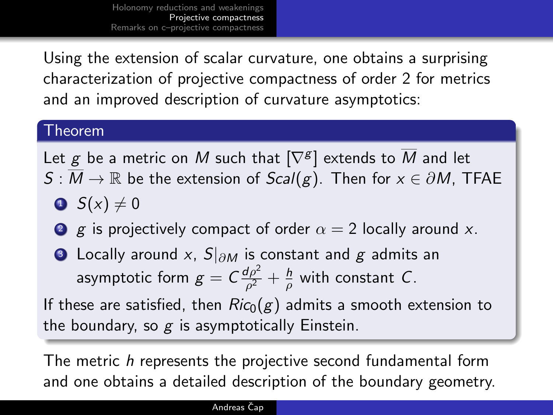Using the extension of scalar curvature, one obtains a surprising characterization of projective compactness of order 2 for metrics and an improved description of curvature asymptotics:

### Theorem

Let  $g$  be a metric on  $M$  such that  $[\nabla^g]$  extends to  $\overline{M}$  and let  $S : M \to \mathbb{R}$  be the extension of  $Scal(g)$ . Then for  $x \in \partial M$ , TFAE

- $\bullet$  S(x)  $\neq$  0
- 2 g is projectively compact of order  $\alpha = 2$  locally around x.
- **3** Locally around x,  $S|_{\partial M}$  is constant and g admits an asymptotic form  $g = C \frac{d\rho^2}{\rho^2}$  $\frac{d\rho^2}{\rho^2}+\frac{h}{\rho}$  $\frac{n}{\rho}$  with constant  $C$ .

If these are satisfied, then  $Ric_0(g)$  admits a smooth extension to the boundary, so  $g$  is asymptotically Einstein.

The metric h represents the projective second fundamental form and one obtains a detailed description of the boundary geometry.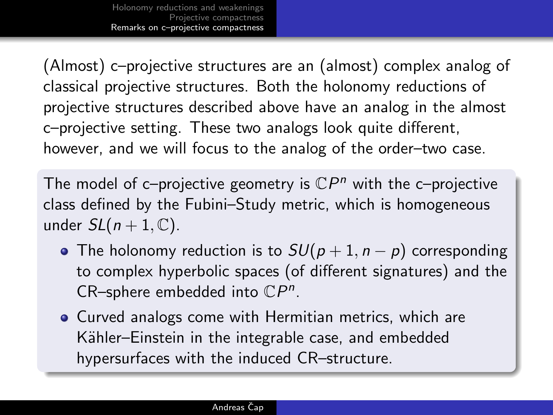(Almost) c–projective structures are an (almost) complex analog of classical projective structures. Both the holonomy reductions of projective structures described above have an analog in the almost c–projective setting. These two analogs look quite different, however, and we will focus to the analog of the order–two case.

The model of c-projective geometry is  $\mathbb{C}P^n$  with the c-projective class defined by the Fubini–Study metric, which is homogeneous under  $SL(n+1, \mathbb{C})$ .

- The holonomy reduction is to  $SU(p+1, n-p)$  corresponding to complex hyperbolic spaces (of different signatures) and the CR-sphere embedded into  $\mathbb{C}P^n$ .
- <span id="page-15-0"></span>• Curved analogs come with Hermitian metrics, which are Kähler–Einstein in the integrable case, and embedded hypersurfaces with the induced CR–structure.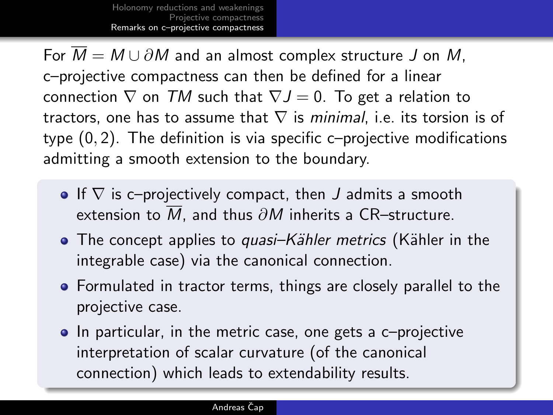For  $\overline{M} = M \cup \partial M$  and an almost complex structure J on M, c–projective compactness can then be defined for a linear connection  $\nabla$  on TM such that  $\nabla J = 0$ . To get a relation to tractors, one has to assume that  $\nabla$  is minimal, i.e. its torsion is of type (0, 2). The definition is via specific c–projective modifications admitting a smooth extension to the boundary.

- If  $\nabla$  is c–projectively compact, then J admits a smooth extension to  $\overline{M}$ , and thus  $\partial M$  inherits a CR–structure.
- The concept applies to *quasi–Kähler metrics* (Kähler in the integrable case) via the canonical connection.
- **•** Formulated in tractor terms, things are closely parallel to the projective case.
- In particular, in the metric case, one gets a c-projective interpretation of scalar curvature (of the canonical connection) which leads to extendability results.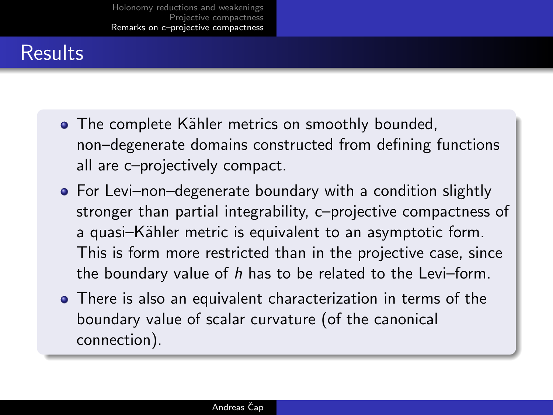## **Results**

- The complete Kähler metrics on smoothly bounded, non–degenerate domains constructed from defining functions all are c–projectively compact.
- For Levi–non–degenerate boundary with a condition slightly stronger than partial integrability, c–projective compactness of a quasi-Kähler metric is equivalent to an asymptotic form. This is form more restricted than in the projective case, since the boundary value of  $h$  has to be related to the Levi–form.
- There is also an equivalent characterization in terms of the boundary value of scalar curvature (of the canonical connection).